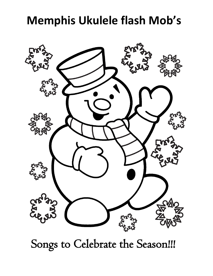# **Memphis Ukulele flash Mob's**



Songs to Celebrate the Season!!!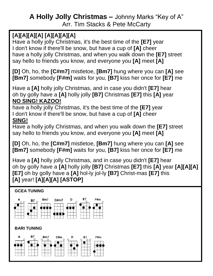## **A Holly Jolly Christmas –** Johnny Marks "Key of A" Arr. Tim Stacks & Pete McCarty

## **[A][A][A][A] [A][A][A][A]**

Have a holly jolly Christmas, it's the best time of the **[E7]** year I don't know if there'll be snow, but have a cup of **[A]** cheer have a holly jolly Christmas, and when you walk down the **[E7]** street say hello to friends you know, and everyone you **[A]** meet **[A]**

**[D]** Oh, ho, the **[C#m7]** mistletoe, **[Bm7]** hung where you can **[A]** see **[Bm7]** somebody **[F#m]** waits for you, **[B7]** kiss her once for **[E7]** me

Have a **[A]** holly jolly Christmas, and in case you didn't **[E7]** hear oh by golly have a **[A]** holly jolly **[B7]** Christmas **[E7]** this **[A]** year **NO SING! KAZOO!**

have a holly jolly Christmas, it's the best time of the **[E7]** year I don't know if there'll be snow, but have a cup of **[A]** cheer **SING!**

Have a holly jolly Christmas, and when you walk down the **[E7]** street say hello to friends you know, and everyone you **[A]** meet **[A]**

**[D]** Oh, ho, the **[C#m7]** mistletoe, **[Bm7]** hung where you can **[A]** see **[Bm7]** somebody **[F#m]** waits for you, **[B7]** kiss her once for **[E7]** me

Have a **[A]** holly jolly Christmas, and in case you didn't **[E7]** hear oh by golly have a **[A]** holly jolly **[B7]** Christmas **[E7]** this **[A]** year **[A][A][A] [E7]** oh by golly have a **[A]** hol-ly jol-ly **[B7]** Christ-mas **[E7]** this **[A]** year! **[A][A][A] [ASTOP]**

#### **GCEA TUNING**



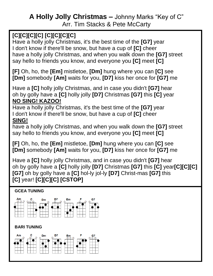## **A Holly Jolly Christmas –** Johnny Marks "Key of C" Arr. Tim Stacks & Pete McCarty

## **[C][C][C][C] [C][C][C][C]**

Have a holly jolly Christmas, it's the best time of the **[G7]** year I don't know if there'll be snow, but have a cup of **[C]** cheer have a holly jolly Christmas, and when you walk down the **[G7]** street say hello to friends you know, and everyone you **[C]** meet **[C]**

**[F]** Oh, ho, the **[Em]** mistletoe, **[Dm]** hung where you can **[C]** see **[Dm]** somebody **[Am]** waits for you, **[D7]** kiss her once for **[G7]** me

Have a **[C]** holly jolly Christmas, and in case you didn't **[G7]** hear oh by golly have a **[C]** holly jolly **[D7]** Christmas **[G7]** this **[C]** year **NO SING! KAZOO!**

Have a holly jolly Christmas, it's the best time of the **[G7]** year I don't know if there'll be snow, but have a cup of **[C]** cheer **SING!**

have a holly jolly Christmas, and when you walk down the **[G7]** street say hello to friends you know, and everyone you **[C]** meet **[C]**

**[F]** Oh, ho, the **[Em]** mistletoe, **[Dm]** hung where you can **[C]** see **[Dm]** somebody **[Am]** waits for you, **[D7]** kiss her once for **[G7]** me

Have a **[C]** holly jolly Christmas, and in case you didn't **[G7]** hear oh by golly have a **[C]** holly jolly **[D7]** Christmas **[G7]** this **[C]** year**[C][C][C] [G7]** oh by golly have a **[C]** hol-ly jol-ly **[D7]** Christ-mas **[G7]** this **[C]** year! **[C][C][C] [CSTOP]**

#### **GCEA TUNING**



#### **BARI TUNING**

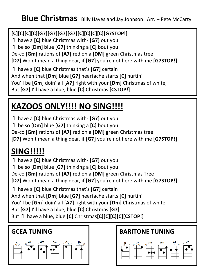#### **[C][C][C][C][G7][G7][G7][G7][C][C][C][C][G7STOP!]**

ں<br>SI I'll have a **[C]** blue Christmas with- **[G7]** out you I'll be so **[Dm]** blue **[G7]** thinking a **[C]** bout you De-co **[Gm]** rations of **[A7]** red on a **[DM]** green Christmas tree **[D7]** Won't mean a thing dear, if **[G7]** you're not here with me **[G7STOP!]** I'll have a **[C]** blue Christmas that's **[G7]** certain And when that **[Dm]** blue **[G7]** heartache starts **[C]** hurtin' You'll be **[Gm]** doin' all **[A7]** right with your **[Dm]** Christmas of white, But **[G7]** I'll have a blue, blue **[C]** Christmas **[CSTOP!]**

# **KAZOOS ONLY!!!! NO SING!!!!**

I'll have a **[C]** blue Christmas with- **[G7]** out you I'll be so **[Dm]** blue **[G7]** thinking a **[C]** bout you De-co **[Gm]** rations of **[A7]** red on a **[DM]** green Christmas tree **[D7]** Won't mean a thing dear, if **[G7]** you're not here with me **[G7STOP!]**

# **SING!!!!!**

I'll have a **[C]** blue Christmas with- **[G7]** out you I'll be so **[Dm]** blue **[G7]** thinking a **[C]** bout you De-co **[Gm]** rations of **[A7]** red on a **[DM]** green Christmas Tree **[D7]** Won't mean a thing dear, if **[G7]** you're not here with me **[G7STOP!]**

I'll have a **[C]** blue Christmas that's **[G7]** certain And when that **[Dm]** blue **[G7]** heartache starts **[C]** hurtin' You'll be **[Gm]** doin' all **[A7]** right with your **[Dm]** Christmas of white, But **[G7]** I'll have a blue, blue **[C]** Christmas **[G7]** But I'll have a blue, blue **[C]** Christmas**[C][C][C][C][CSTOP!]**



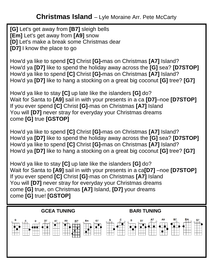**[G]** Let's get away from **[B7]** sleigh bells **[Em]** Let's get away from **[A9]** snow **[D]** Let's make a break some Christmas dear **[D7]** I know the place to go

How'd ya like to spend **[C]** Christ **[G]-**mas on Christmas **[A7]** Island? How'd ya **[D7]** like to spend the holiday away across the **[G]** sea? **[D7STOP]** How'd ya like to spend **[C]** Christ **[G]-**mas on Christmas **[A7]** Island? How'd ya **[D7]** like to hang a stocking on a great big coconut **[G]** tree? **[G7]**

How'd ya like to stay **[C]** up late like the islanders **[G]** do? Wait for Santa to **[A9]** sail in with your presents in a ca **[D7]**–noe **[D7STOP]** If you ever spend **[C]** Christ **[G]**-mas on Christmas **[A7]** Island You will **[D7]** never stray for everyday your Christmas dreams come **[G]** true **[GSTOP]**

How'd ya like to spend **[C]** Christ **[G]-**mas on Christmas **[A7]** Island? How'd ya **[D7]** like to spend the holiday away across the **[G]** sea? **[D7STOP]** How'd ya like to spend **[C]** Christ **[G]-**mas on Christmas **[A7]** Island? How'd ya **[D7]** like to hang a stocking on a great big coconut **[G]** tree? **[G7]**

How'd ya like to stay **[C]** up late like the islanders **[G]** do? Wait for Santa to **[A9]** sail in with your presents in a ca**[D7]** –noe **[D7STOP]** If you ever spend **[C]** Christ **[G]**-mas on Christmas **[A7]** Island You will **[D7]** never stray for everyday your Christmas dreams come **[G]** true, on Christmas **[A7]** Island, **[D7]** your dreams come **[G]** true! **[GSTOP]**

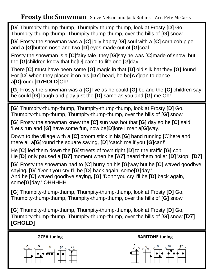**[G]** Thumpity-thump-thump, Thumpity-thump-thump, look at Frosty **[D]** Go, Thumpity-thump-thump, Thumpity-thump-thump, over the hills of **[G]** snow

**[G]** Frosty the snowman was a **[C]** jolly happy **[G]** soul with a **[C]** corn cob pipe and a **[G]**button nose and two **[D]** eyes made out of **[G]**coal

Frosty the snowman is a **[C]**fairy tale, they **[G]**say he was **[C]**made of snow, but the **[G]**children know that he[D] came to life one [G]day

 There **[C]** must have been some **[G]** magic in that **[D]** old silk hat they **[G]** found For **[D]** when they placed it on his **[D7]** head, he be**[A7]**gan to dance a**[D]**round**[D7HOLD]**Oh!

 **[G]** Frosty the snowman was a **[C]** live as he could **[G]** be and the **[C]** children say he could **[G]** laugh and play just the **[D]** same as you and **[G]** me Oh!

**[G]** Thumpity-thump-thump, Thumpity-thump-thump, look at Frosty **[D]** Go, Thumpity-thump-thump, Thumpity-thump-thump, over the hills of **[G]** snow

**[G]** Frosty the snowman knew the **[C]** sun was hot that **[G]** day so he **[C]** said 'Let's run and **[G]** have some fun, now be**[D]**fore I melt a**[G]**way.'

Down to the village with a **[C]** broom stick in his **[G]** hand running [C]here and there all a**[G]**round the square saying, **[D]** 'catch me if you **[G]**can!'

He **[C]** led them down the **[G]**streets of town right **[D]** to the traffic **[G]** cop He **[D]** only paused a **[D7]** moment when he **[A7]** heard them holler **[D]** 'stop!' **[D7]**

**[G]** Frosty the snowman had to **[C]** hurry on his **[G]**way but he **[C]** waved goodbye saying**, [G]** 'Don't you cry I'll be **[D]** back again, some**[G]**day.' And he **[C]** waved goodbye saying**, [G]** 'Don't you cry I'll be **[D]** back again, some**[G]**day.' OHHHHH

**[G]** Thumpity-thump-thump, Thumpity-thump-thump, look at Frosty **[D]** Go, Thumpity-thump-thump, Thumpity-thump-thump, over the hills of **[G]** snow

**[G]** Thumpity-thump-thump, Thumpity-thump-thump, look at Frosty **[D]** Go, Thumpity-thump-thump, Thumpity-thump-thump, over the hills of **[G]** snow **[D7] [GHOLD]**



 **GCEA tuning SECEA TUNISING BARITONE tuning** 

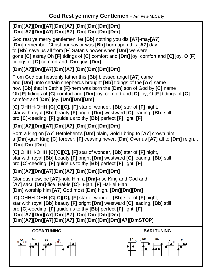#### **[Dm][A7][Dm][A7][Dm][A7] [Dm][Dm][Dm][Dm] [Dm][A7][Dm][A7][Dm][A7] [Dm][Dm][Dm][Dm]**

God rest ye merry gentlemen, let **[Bb]** nothing you dis **[A7]-**may**[A7] [Dm]** remember Christ our savior was **[Bb]** born upon this **[A7]** day to **[Bb]** save us all from **[F]** Satan's power when **[Dm]** we were gone **[C]** astray Oh **[F]** tidings of **[C]** comfort and **[Dm]** joy, comfort and **[C]** joy, O **[F]** tidings of **[C]** comfort and **[Dm]** joy. **[Dm]**

#### **[Dm][A7][Dm][A7][Dm][A7] [Dm][Dm][Dm][Dm]**

From God our heavenly father this **[Bb]** blessed angel **[A7]** came and **[Dm]** unto certain shepherds brought **[Bb]** tidings of the **[A7]** same how **[Bb]** that in Bethle **[F]**-hem was born the **[Dm]** son of God by **[C]** name Oh **[F]** tidings of **[C]** comfort and **[Dm]** joy, comfort and **[C]** joy, O **[F]** tidings of **[C]** comfort and **[Dm]** joy. **[Dm][Dm][Dm]**

**[C]** OHHH-OHH **[C][C][C], [F]** star of wonder, **[Bb]** star of **[F]** night, star with royal **[Bb]** beauty **[F]** bright **[Dm]** westward **[C]** leading, **[Bb]** still pro **[C]-**ceeding, **[F]** guide us to thy **[Bb]** perfect **[F]** light. **[F]**

#### **[Dm][A7][Dm][A7][Dm][A7] [Dm][Dm][Dm][Dm]**

Born a king on **[A7]** Bethlehem's **[Dm]** plain, Gold I bring to **[A7]** crown him a **[Dm]-**gain King **[C]** forever, **[F]** ceasing never, **[Dm]** Over us **[A7]** all to **[Dm]** reign. . **[Dm][Dm][Dm]**

**[C]** OHHH-OHH **[C][C][C], [F]** star of wonder, **[Bb]** star of **[F]** night, star with royal **[Bb]** beauty **[F]** bright **[Dm]** westward **[C]** leading, **[Bb]** still pro **[C]-**ceeding, **[F]** guide us to thy **[Bb]** perfect **[F]** light. **[F]**

#### **[Dm][A7][Dm][A7][Dm][A7] [Dm][Dm][Dm][Dm]**

Glorious now, be **[A7]-**hold Him a **[Dm]-**rise King and God and **[A7]** sacri **[Dm]-**fice, Hal-le **[C]-**lu-jah, **[F]** Hal-lelu-jah! **[Dm]** worship him **[A7]** God most **[Dm]** high. **[Dm][Dm][Dm]**

**[C]** OHHH-OHH **[C][C][C], [F]** star of wonder, **[Bb]** star of **[F]** night, star with royal **[Bb]** beauty **[F]** bright **[Dm]** westward **[C]** leading, **[Bb]** still pro **[C]-**ceeding, **[F]** guide us to thy **[Bb]** perfect **[F]** light. **[F] [Dm][A7][Dm][A7][Dm][A7] [Dm][Dm][Dm][Dm] [Dm][A7][Dm][A7][Dm][A7] [Dm][Dm][Dm][Dm][A7][DmSTOP]**

#### **GCEA TUNING BARI TUNING**



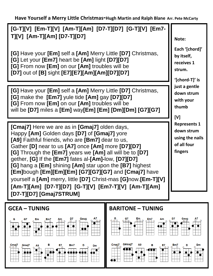**Have Yourself a Merry Little Christmas-Hugh Martin and Ralph Blane Arr. Pete McCarty**

**[G-T][V] [Em-T][V] [Am-T][Am] [D7-T][D7] [G-T][V] [Em7- T][V] [Am-T][Am] [D7-T][D7]**

 $rac{c}{c}$ **[G]** Have your **[Em]** self a **[Am]** Merry Little **[D7]** Christmas, **[G]** Let your **[Em7]** heart be **[Am]** light **[D7][D7] [G]** From now **[Em]** on our **[Am]** troubles will be **[D7]** out of **[B]** sight **[E7][E7][Am][Am][D7][D7]**

**[G]** Have your **[Em]** self a **[Am]** Merry Little **[D7]** Christmas, **[G]** make the **[Em7]** yule tide **[Am]** gay **[D7][D7] [G]** From now **[Em]** on our **[Am]** troubles will be will be **[D7]** miles a **[Em]** way**[Em] [Em] [Dm][Dm] [G7][G7]**

**[Cmaj7]** Here we are as in **[Gmaj7]** olden days, Happy **[Am]** Golden days **[D7]** of **[Gmaj7]** yore **[A9]** Faithful friends, who are **[Bm7]** dear to us, Gather **[D]** near to us **[A7]** once **[Am]** more **[D7][D7] [G]** Through the **[Em7]** years we **[Am]** all will be to **[D7]** gether, **[G]** If the **[Em7]** fates al-**[Am]-**low, **[D7][D7] [G]** hang a **[Em]** shining **[Am]** star upon the **[B7]** highest **[Em]**bough **[Em][Em][Em] [G7][G7][G7]** and **[Cmaj7]** have yourself a **[Am]** merry, little **[D7]** Christ-mas **[G]**now.**[Em-T][V] [Am-T][Am] [D7-T][D7] [G-T][V] [Em7-T][V] [Am-T][Am] [D7-T][D7] [Gmaj7STRUM]**



**Note:**

**Each '[chord]' by itself, receives 1 strum.**

**'[chord-T]' is just a gentle down strum with your thumb**

**[V]** 

**Represents 1 down strum using the nails of all four fingers**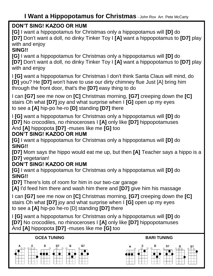### **I Want a Hippopotamus for Christmas** - John Rox Arr. Pete McCarty

#### **DON'T SING! KAZOO OR HUM**

**[G]** I want a hippopotamus for Christmas only a hippopotamus will **[D]** do **[D7]** Don't want a doll, no dinky Tinker Toy I **[A]** want a hippopotamus to **[D7]** play with and enjoy

#### **SING!!**

5<br>[(<br>דו **[G]** I want a hippopotamus for Christmas only a hippopotamus will **[D]** do **[D7]** Don't want a doll, no dinky Tinker Toy I **[A]** want a hippopotamus to **[D7]** play with and enjoy

 I **[G]** want a hippopotamus for Christmas I don't think Santa Claus will mind, do **[D]** you? He **[D7]** won't have to use our dirty chimney flue Just [A] bring him through the front door, that's the **[D7]** easy thing to do

I can **[G7]** see me now on **[C]** Christmas morning, **[G7]** creeping down the **[C]** stairs Oh what **[D7]** joy and what surprise when I **[G]** open up my eyes to see a **[A]** hip-po he-ro **[D]** standing **[D7]** there

I **[G]** want a hippopotamus for Christmas only a hippopotamus will **[D]** do **[D7]** No crocodiles, no rhinoceroses I **[A]** only like **[D7]** hippopotamuses And **[A]** hippopota **[D7]** -muses like me **[G]** too

#### **DON'T SING! KAZOO OR HUM**

**[G]** I want a hippopotamus for Christmas only a hippopotamus will **[D]** do **SING!!**

**[D7]** Mom says the hippo would eat me up, but then **[A]** Teacher says a hippo is a **[D7]** vegetarian!

#### **DON'T SING! KAZOO OR HUM**

**[G]** I want a hippopotamus for Christmas only a hippopotamus will **[D]** do **SING!!**

**[D7]** There's lots of room for him in our two-car garage

**[A]** I'd feed him there and wash him there and **[D7]** give him his massage

I can **[G7]** see me now on **[C]** Christmas morning, **[G7]** creeping down the **[C]** stairs Oh what **[D7]** joy and what surprise when I **[G]** open up my eyes to see a **[A]** hip-po he-ro [D] standing **[D7]** there

I **[G]** want a hippopotamus for Christmas only a hippopotamus will **[D]** do **[D7]** No crocodiles, no rhinoceroses I **[A]** only like **[D7]** hippopotamuses And **[A]** hippopota **[D7]** -muses like me **[G]** too





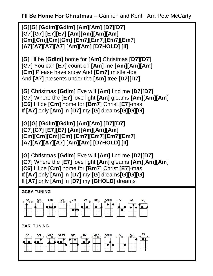**I'll Be Home For Christmas** – Gannon and Kent Arr. Pete McCarty

**[G][G] [Gdim][Gdim] [Am][Am] [D7][D7] [G7][G7] [E7][E7] [Am][Am][Am][Am] [Cm][Cm][Cm][Cm] [Em7][Em7][Em7][Em7] [A7][A7][A7][A7] [Am][Am] [D7HOLD] [II]**

**[G]** I'll be **[Gdim]** home for **[Am]** Christmas **[D7][D7] [G7]** You can **[E7]** count on **[Am]** me **[Am][Am][Am] [Cm]** Please have snow And **[Em7]** mistle -toe And **[A7]** presents under the **[Am]** tree **[D7][D7]**

**[G]** Christmas **[Gdim]** Eve will **[Am]** find me **[D7][D7] [G7]** Where the **[E7]** love light **[Am]** gleams **[Am][Am][Am] [C6]** I'll be **[Cm]** home for **[Bm7]** Christ **[E7]**-mas If **[A7]** only **[Am]** in **[D7]** my **[G]** dreams**[G][G][G]**

**[G][G] [Gdim][Gdim] [Am][Am] [D7][D7] [G7][G7] [E7][E7] [Am][Am][Am][Am] [Cm][Cm][Cm][Cm] [Em7][Em7][Em7][Em7] [A7][A7][A7][A7] [Am][Am] [D7HOLD] [II]**

**[G]** Christmas **[Gdim]** Eve will **[Am]** find me **[D7][D7] [G7]** Where the **[E7]** love light **[Am]** gleams **[Am][Am][Am] [C6]** I'll be **[Cm]** home for **[Bm7]** Christ **[E7]**-mas If **[A7]** only **[Am]** in **[D7]** my **[G]** dreams**[G][G][G]** If **[A7]** only **[Am]** in **[D7]** my **[GHOLD]** dreams

#### **GCEA TUNING**



#### **BARI TUNING**

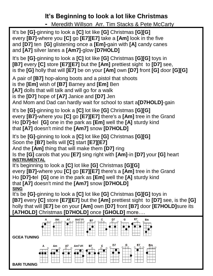## **It's Beginning to look a lot like Christmas**

**-** Meredith Willson Arr. Tim Stacks & Pete McCarty

It's be **[G]**-ginning to look a **[C]** lot like **[G]** Christmas **[G][G]** every **[B7]**-where you **[C]** go **[E7][E7]** take a **[Am]** look in the five and **[D7]** ten **[G]** glistening once a **[Em]-**gain with **[A]** candy canes and **[A7]** silver lanes a **[Am7]**-glow **[D7HOLD]**

It's be **[G]**-ginning to look a **[C]** lot like **[G]** Christmas **[G][G]** toys in **[B7]** every **[C]** store **[E7][E7]** but the **[Am]** prettiest sight to **[D7]** see, is the **[G]** holly that will **[E7]** be on your **[Am]** own **[D7]** front **[G]** door **[G][G]**

A pair of **[B7]** hop-along boots and a pistol that shoots is the **[Em]** wish of **[B7]** Barney and **[Em]** Ben **[A7]** dolls that will talk and will go for a walk

is the **[D7]** hope of **[A7]** Janice and **[D7]** Jen

And Mom and Dad can hardly wait for school to start a**[D7HOLD]**-gain

It's be **[G]**-ginning to look a **[C]** lot like **[G]** Christmas **[G][G]** every **[B7]-**where you **[C]** go **[E7][E7]** there's a **[Am]** tree in the Grand Ho **[D7]-t**el **[G]** one in the park as **[Em]** well the **[A]** sturdy kind that **[A7]** doesn't mind the **[Am7]** snow **[D7HOLD]**

It's be **[G]**-ginning to look a **[C]** lot like **[G]** Christmas **[G][G]** Soon the **[B7]** bells will **[C]** start **[E7][E7]**

And the **[Am]** thing that will make them **[D7]** ring

Is the **[G]** carols that you **[E7]** sing right with **[Am]**-in **[D7]** your **[G]** heart **INSTRUMENTAL**

It's beginning to look a **[C]** lot like **[G]** Christmas **[G][G]** every **[B7]-**where you **[C]** go **[E7][E7]** there's a **[Am]** tree in the Grand Ho **[D7]-t**el **[G]** one in the park as **[Em]** well the **[A]** sturdy kind that **[A7]** doesn't mind the **[Am7]** snow **[D7HOLD] SING**

It's be **[G]**-ginning to look a **[C]** lot like **[G]** Christmas **[G][G]** toys in **[B7]** every **[C]** store **[E7][E7]** but the **[Am]** prettiest sight to **[D7]** see, is the **[G]** holly that will **[E7]** be on your **[Am]** own **[D7]** front **[B7]** door **[E7HOLD]**sure its **[A7HOLD]** Christmas **[D7HOLD]** once **[GHOLD]** more….

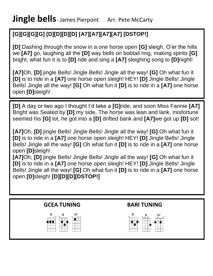## **[G][G][G][G] [D][D][D][D] [A7][A7][A7][A7] [DSTOP!]**

 **[D]** Dashing through the snow in a one horse open **[G]** sleigh, O'er the hills we **[A7]** go, laughing all the **[D]** way bells on bobtail ring, making spirits **[G]** bright, what fun it is to **[D]** ride and sing a **[A7]** sleighing song to **[D]**night!

**[A7]**Oh, **[D]** jingle Bells! Jingle Bells! Jingle all the way! **[G]** Oh what fun it **[D]** is to ride in a **[A7]** one horse open sleigh! HEY! **[D]** Jingle Bells! Jingle Bells! Jingle all the way! **[G]** Oh what fun it **[D]** is to ride in a **[A7]** one horse open **[D]**sleigh!

**[D]** A day or two ago I thought I'd take a **[G]**ride, and soon Miss Fannie **[A7]**  Bright was Seated by **[D]** my side, The horse was lean and lank, misfortune seemed his **[G]** lot, he got into a **[D]** drifted bank and **[A7]**we got up **[D]** sot!

**[A7]**Oh, **[D]** jingle Bells! Jingle Bells! Jingle all the way! **[G]** Oh what fun it **[D]** is to ride in a **[A7]** one horse open sleigh! HEY! **[D]** Jingle Bells! Jingle Bells! Jingle all the way! **[G]** Oh what fun it **[D]** is to ride in a **[A7]** one horse open **[D]**sleigh!

**[A7]**Oh, **[D]** jingle Bells! Jingle Bells! Jingle all the way! **[G]** Oh what fun it **[D]** is to ride in a **[A7]** one horse open sleigh! HEY! **[D]** Jingle Bells! Jingle Bells! Jingle all the way! **[G]** Oh what fun it **[D]** is to ride in a **[A7]** one horse open **[D]**sleigh! **[D][D][D][DSTOP!]**

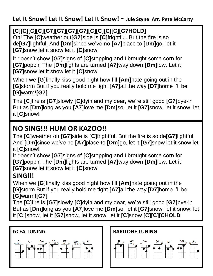#### **Let It Snow! Let It Snow! Let It Snow! - Jule Styne Arr. Pete McCarty**

#### **[C][C][C][C][G7][G7][G7][G7][C][C][C][C][G7HOLD]**

 de**[G7]**lightful, And **[Dm]**since we've no **[A7]**place to **[Dm]**go, let it Oh! The **[C]**weather out**[G7]**side is **[C]**frightful. But the fire is so **[G7]**snow let it snow let it **[C]**snow!

 **[G7]**poppin The **[Dm]**lights are turned **[A7]**way down **[Dm]**low. Let it It doesn't show **[G7]**signs of **[C]**stopping and I brought some corn for **[G7]**snow let it snow let it **[C]**snow

When we **[G]**finally kiss good night how I'll **[Am]**hate going out in the **[G]**storm But if you really hold me tight **[A7]**all the way **[D7]**home I'll be **[G]**warm**![G7]**

The **[C]**fire is **[G7]**slowly **[C]**dyin and my dear, we're still good **[G7]**bye-in But as **[Dm]**long as you **[A7]**love me **[Dm]**so, let it **[G7]**snow, let it snow, let it **[C]**snow!

## **NO SING!!! HUM OR KAZOO!!**

The **[C]**weather out**[G7]**side is **[C]**frightful. But the fire is so de**[G7]**lightful, And **[Dm]**since we've no **[A7]**place to **[Dm]**go, let it **[G7]**snow let it snow let it **[C]**snow!

It doesn't show **[G7]**signs of **[C]**stopping and I brought some corn for **[G7]**poppin The **[Dm]**lights are turned **[A7]**way down **[Dm]**low. Let it **[G7]**snow let it snow let it **[C]**snow

## **SING!!!**

When we **[G]**finally kiss good night how I'll **[Am]**hate going out in the **[G]**storm But if you really hold me tight **[A7]**all the way **[D7]**home I'll be **[G]**warm**![G7]**

The **[C]**fire is **[G7]**slowly **[C]**dyin and my dear, we're still good **[G7]**bye-in But as **[Dm]**long as you **[A7]**love me **[Dm]**so, let it **[G7]**snow, let it snow, let it **[C ]**snow, let it **[G7]**snow, let it snow, let it **[C]**snow **[C][C][CHOLD**



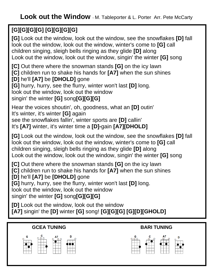## **[G][G][G][G] [G][G][G][G]**

**[G]** Look out the window, look out the window, see the snowflakes **[D]** fall look out the window, look out the window, winter's come to **[G]** call children singing, sleigh bells ringing as they glide **[D]** along Look out the window, look out the window, singin' the winter **[G]** song

**[C]** Out there where the snowman stands **[G]** on the icy lawn **[C]** children run to shake his hands for **[A7]** when the sun shines **[D]** he'll **[A7]** be **[DHOLD]** gone

**[G]** hurry, hurry, see the flurry, winter won't last **[D]** long.

look out the window, look out the window

singin' the winter **[G]** song**[G][G][G]**

Hear the voices shoutin', oh, goodness, what an **[D]** outin' It's winter, it's winter **[G]** again see the snowflakes fallin', winter sports are **[D]** callin' It's **[A7]** winter, it's winter time a **[D]-**gain **[A7][DHOLD]**

**[G]** Look out the window, look out the window, see the snowflakes **[D]** fall look out the window, look out the window, winter's come to **[G]** call children singing, sleigh bells ringing as they glide **[D]** along Look out the window, look out the window, singin' the winter **[G]** song

**[C]** Out there where the snowman stands **[G]** on the icy lawn **[C]** children run to shake his hands for **[A7]** when the sun shines **[D]** he'll **[A7]** be **[DHOLD]** gone

**[G]** hurry, hurry, see the flurry, winter won't last **[D]** long.

look out the window, look out the window

singin' the winter **[G]** song**[G][G][G]**

**[D]** Look out the window, look out the window **[A7]** singin' the **[D]** winter **[G]** song! **[G][G][G] [G][D][GHOLD]**

#### **GCEA TUNING BARI TUNING**



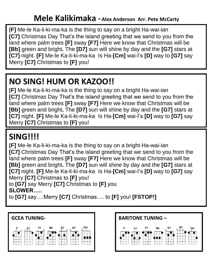」<br>、<br>、 .<br>da **[F]** Me-le Ka-li-ki-ma-ka is the thing to say on a bright Ha-wai-ian **[C7]** Christmas Day That's the island greeting that we send to you from the land where palm trees **[F]** sway **[F7]** Here we know that Christmas will be **[Bb]** green and bright**.** The **[D7]** sun will shine by day and the **[G7]** stars at **[C7]** night. **[F]** Me-le Ka-li-ki-ma-ka Is Ha-**[Cm]** wai-I's **[D]** way to **[G7]** say Merry **[C7]** Christmas to **[F]** you!

# **NO SING! HUM OR KAZOO!!**

**[F]** Me-le Ka-li-ki-ma-ka is the thing to say on a bright Ha-wai-ian **[C7]** Christmas Day That's the island greeting that we send to you from the land where palm trees **[F]** sway **[F7]** Here we know that Christmas will be **[Bb]** green and bright**.** The **[D7]** sun will shine by day and the **[G7]** stars at **[C7]** night. **[F]** Me-le Ka-li-ki-ma-ka Is Ha-**[Cm]** wai-I's **[D]** way to **[G7]** say Merry **[C7]** Christmas to **[F]** you!

# **SING!!!!**

**[F]** Me-le Ka-li-ki-ma-ka is the thing to say on a bright Ha-wai-ian **[C7]** Christmas Day That's the island greeting that we send to you from the land where palm trees **[F]** sway **[F7]** Here we know that Christmas will be **[Bb]** green and bright**.** The **[D7]** sun will shine by day and the **[G7]** stars at **[C7]** night. **[F]** Me-le Ka-li-ki-ma-ka Is Ha-**[Cm]** wai-I's **[D]** way to **[G7]** say Merry **[C7]** Christmas to **[F]** you!

to **[G7]** say Merry **[C7]** Christmas to **[F]** you **SLOWER…..**

to **[G7]** say….Merry **[C7]** Christmas…. to **[F]** you! **[FSTOP!]**



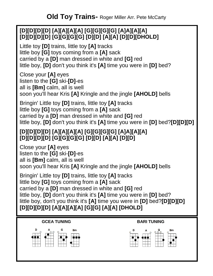#### **[D][D][D][D] [A][A][A][A] [G][G][G][G] [A]A][A][A] [D][D][D][D] [G][G][G][G] [D][D] [A][A] [D][D][DHOLD]**

Little toy **[D]** trains, little toy **[A]** tracks little boy **[G]** toys coming from a **[A]** sack carried by a **[D]** man dressed in white and **[G]** red little boy, **[D]** don't you think it's **[A]** time you were in **[D]** bed?

Close your **[A]** eyes listen to the **[G]** ski-**[D]**-es all is **[Bm]** calm, all is well soon you'll hear Kris **[A]** Kringle and the jingle **[AHOLD]** bells

Bringin' Little toy **[D]** trains, little toy **[A]** tracks little boy **[G]** toys coming from a **[A]** sack carried by a **[D]** man dressed in white and **[G]** red little boy, **[D]** don't you think it's **[A]** time you were in **[D]** bed?**[D][D][D]**

#### **[D][D][D][D] [A][A][A][A] [G][G][G][G] [A]A][A][A] [D][D][D][D] [G][G][G][G] [D][D] [A][A] [D][D]**

Close your **[A]** eyes listen to the **[G]** ski-**[D]**-es all is **[Bm]** calm, all is well soon you'll hear Kris **[A]** Kringle and the jingle **[AHOLD]** bells

Bringin' Little toy **[D]** trains, little toy **[A]** tracks little boy **[G]** toys coming from a **[A]** sack carried by a **[D]** man dressed in white and **[G]** red little boy, **[D]** don't you think it's **[A]** time you were in **[D]** bed? little boy, don't you think it's **[A]** time you were in **[D]** bed?**[D][D][D] [D][D][D][D] [A][A][A][A] [G][G] [A][A] [DHOLD]**

#### **GCEA TUNING BARI TUNING**



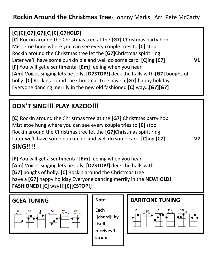#### **[C][C][G7][G7][C][C][G7HOLD]**

 Mistletoe hung where you can see every couple tries to **[C]** stop **[C]** Rockin around the Christmas tree at the **[G7]** Christmas party hop Rockin around the Christmas tree let the **[G7]**Christmas spirit ring Later we'll have some punkin pie and well do some carol **[C]**ing **[C7] V1 [F]** You will get a sentimental **[Em]** feeling when you hear **[Am]** Voices singing lets be jolly, **[D7STOP!]** deck the halls with **[G7]** boughs of holly. **[C]** Rockin around the Christmas tree have a **[G7]** happy holiday Everyone dancing merrily in the new old fashioned **[C]** way**…[G7][G7]**

## **DON'T SING!!! PLAY KAZOO!!!**

**[C]** Rockin around the Christmas tree at the **[G7]** Christmas party hop Mistletoe hung where you can see every couple tries to **[C]** stop Rockin around the Christmas tree let the **[G7]**Christmas spirit ring Later we'll have some punkin pie and well do some carol **[C]**ing **[C7] V2 SING!!!!**

#### **[F]** You will get a sentimental **[Em]** feeling when you hear **[Am]** Voices singing lets be jolly, **[D7STOP!]** deck the halls with **[G7]** boughs of holly. **[C]** Rockin around the Christmas tree have a **[G7]** happy holiday Everyone dancing merrily in the **NEW! OLD! FASHIONED! [C]** way**!!![C][CSTOP!]**





**Each '[chord]' by itself, receives 1 strum.**

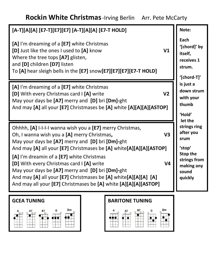## **Rockin White Christmas**-Irving Berlin Arr. Pete McCarty





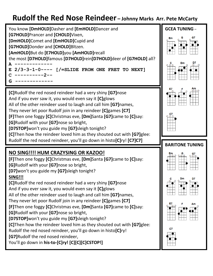## **Rudolf the Red Nose Reindeer – Johnny Marks Arr. Pete McCarty**

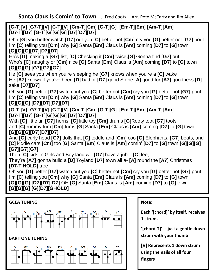**Santa Claus is Comin' to Town** – J. Fred Coots Arr. Pete McCarty and Jim Allen

#### כ:<br>17<br>י **[G-T][V] [G7-T][V] [C-T][V] [Cm-T][Cm] [G-T][G] [Em-T][Em] [Am-T][Am] [D7-T][D7] [G-T][G][G][G] [D7][D7][D7]**

Ohh **[G]** you better watch **[G7]** out you **[C]** better not **[Cm]** cry you **[G]** better not **[G7]** pout I'm **[C]** telling you **[Cm]** why **[G]** Santa **[Em]** Claus is **[Am]** coming **[D7]** to **[G]** town **[G][G][G][D7][D7][D7]**

He's **[G]** making a **[G7]** list, **[C]** Checking it **[Cm]** twice**,[G]** Gonna find **[G7]** out Who's **[C]** naughty or **[Cm]** nice **[G]** Santa **[Em]** Claus is **[Am]** coming **[D7]** to **[G]** town **[G][G][G] [G7][G7][G7]**

He **[C]** sees you when you're sleeping he **[G7]** knows when you're a **[C]** wake He **[A7]** knows if you've been **[D]** bad or **[D7]** good So be **[A]** good for **[A7]** goodness **[D]** sake **[D7][D7]**

Oh you **[G]** better **[G7]** watch out you **[C]** better not **[Cm]** cry you **[G]** better not **[G7]** pout I'm **[C]** telling you **[Cm]** why **[G]** Santa **[Em]** Claus is **[Am]** coming **[D7]** to **[G]** town **[G][G][G] [D7][D7][D7][D7]**

#### **[G-T][V] [G7-T][V] [C-T][V] [Cm-T][Cm] [G-T][G] [Em-T][Em] [Am-T][Am] [D7-T][D7] [G-T][G][G][G] [D7][D7][D7]**

With **[G]** little tin **[G7]** horns, **[C]** little toy **[Cm]** drums **[G]**Rooty toot **[G7]** toots and **[C]** rummy tum **[Cm]** tums **[G]** Santa **[Em]** Claus is **[Am]** coming **[D7]** to **[G]** town **[G][G][G][D7][D7][D7]**

And **[G]** curly head **[G7]** dolls that **[C]** toddle and **[Cm]** coo **[G]** Elephants, **[G7]** boats, and **[C]** kiddie cars **[Cm]** too **[G]** Santa **[Em]** Claus is **[Am]** comin' **[D7]** to **[G]** town **[G][G][G] [G7][G7][G7]**

Then **[C]** kids in Girls and Boy land will **[G7]** have a jubi - **[C]** lee,

They're **[A7]** gonna build a **[D]** Toyland **[D7]** town all a- **[A]** round the **[A7]** Christmas **[D7-T HOLD]** tree

Oh you **[G]** better **[G7]** watch out you **[C]** better not **[Cm]** cry you **[G]** better not **[G7]** pout I'm **[C]** telling you **[Cm]** why **[G]** Santa **[Em]** Claus is **[Am]** coming **[D7]** to **[G]** town **[G][G][G] [D7][D7][D7]** OH **[G]** Santa **[Em]** Claus is **[Am]** coming **[D7]** to **[G]** town **[G][G][G] [G][D7][GHOLD]**



**Note:**

**Each '[chord]' by itself, receives 1 strum.**

**'[chord-T]' is just a gentle down strum with your thumb**

**[V] Represents 1 down strum using the nails of all four fingers**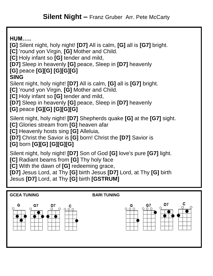**HUM….. [G]** Silent night, holy night! **[D7]** All is calm, **[G]** all is **[G7]** bright. **[C]** 'round yon Virgin, **[G]** Mother and Child. **[C]** Holy infant so **[G]** tender and mild, **[D7]** Sleep in heavenly **[G]** peace, Sleep in **[D7]** heavenly **[G]** peace **[G][G] [G][G][G] SING** Silent night, holy night! **[D7]** All is calm, **[G]** all is **[G7]** bright. **[C]** 'round yon Virgin, **[G]** Mother and Child. **[C]** Holy infant so **[G]** tender and mild, **[D7]** Sleep in heavenly **[G]** peace, Sleep in **[D7]** heavenly **[G]** peace **[G][G] [G][G][G]** Silent night, holy night! **[D7]** Shepherds quake **[G]** at the **[G7]** sight. **[C]** Glories stream from **[G]** heaven afar **[C]** Heavenly hosts sing **[G]** Alleluia, **[D7]** Christ the Savior is **[G]** born! Christ the **[D7]** Savior is **[G]** born **[G][G] [G][G][G]** Silent night, holy night! **[D7]** Son of God **[G]** love's pure **[G7]** light. **[C]** Radiant beams from **[G]** Thy holy face

**[C]** With the dawn of **[G]** redeeming grace,

**[D7]** Jesus Lord, at Thy **[G]** birth Jesus **[D7]** Lord, at Thy **[G]** birth Jesus **[D7]** Lord, at Thy **[G]** birth **[GSTRUM]**

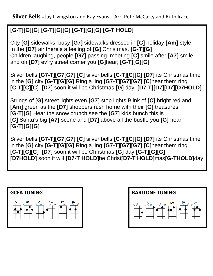**Silver Bells** – Jay Livingston and Ray Evans Arr. Pete McCarty and Ruth Irace

## **[G-T][G][G] [G-T][G][G] [G-T][G][G] [G-T HOLD]**

 City **[G]** sidewalks, busy **[G7]** sidewalks dressed in **[C]** holiday **[Am]** style In the **[D7]** air there's a feeling of **[G]** Christmas. **[G-T][G]** Children laughing, people **[G7]** passing, meeting **[C]** smile after **[A7]** smile, and on **[D7]** ev'ry street corner you **[G]**hear; **[G-T][G][G]**

Silver bells **[G7-T][G7[G7] [C]** silver bells **[C-T][C][C] [D7]** its Christmas time in the **[G]** city **[G-T][G][G]** Ring a ling **[G7-T][G7][G7] [C]**hear them ring **[C-T][C][C] [D7]** soon it will be Christmas **[G]** day **[D7-T][D7][D7][D7HOLD]**

Strings of **[G]** street lights even **[G7]** stop lights Blink of **[C]** bright red and **[Am]** green as the **[D7]** shoppers rush home with their **[G]** treasures **[G-T][G]** Hear the snow crunch see the **[G7]** kids bunch this is **[C]** Santa's big **[A7]** scene and **[D7]** above all the bustle you **[G]** hear **[G-T][G][G]** 

Silver bells **[G7-T][G7[G7] [C]** silver bells **[C-T][C][C] [D7]** its Christmas time in the **[G]** city **[G-T][G][G]** Ring a ling **[G7-T][G7][G7] [C]**hear them ring **[C-T][C][C] [D7]** soon it will be Christmas **[G]** day **[G-T][G][G] [D7HOLD]** soon it will **[D7-T HOLD]**be Christ**[D7-T HOLD]**mas**[G-THOLD]**day



![](_page_21_Figure_7.jpeg)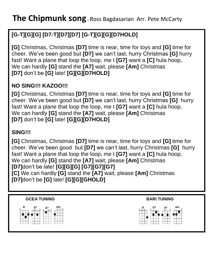## **[G-T][G][G] [D7-T][D7][D7] [G-T][G][G][D7HOLD]**

 **[G]** Christmas, Christmas **[D7]** time is near, time for toys and **[G]** time for We can hardly **[G]** stand the **[A7]** wait, please **[Am]** Christmas cheer. We've been good but **[D7]** we can't last, hurry Christmas **[G]** hurry fast! Want a plane that loop the loop, me I **[G7]** want a **[C]** hula hoop, **[D7]** don't be **[G]** late! **[G][G][D7HOLD]**

#### **NO SING!!! KAZOO!!!**

**[G]** Christmas, Christmas **[D7]** time is near, time for toys and **[G]** time for cheer. We've been good but **[D7]** we can't last, hurry Christmas **[G]** hurry fast! Want a plane that loop the loop, me I **[G7]** want a **[C]** hula hoop, We can hardly **[G]** stand the **[A7]** wait, please **[Am]** Christmas **[D7]** don't be **[G]** late! **[G][G][D7HOLD]**

#### **SING!!!**

**[G]** Christmas, Christmas **[D7]** time is near, time for toys and **[G]** time for cheer. We've been good but **[D7]** we can't last, hurry Christmas **[G]** hurry fast! Want a plane that loop the loop, me I **[G7]** want a **[C]** hula hoop, We can hardly **[G]** stand the **[A7]** wait, please **[Am]** Christmas **[D7]**don't be late! **[G][G][G] [G7][G7][G7] [C]** We can hardly **[G]** stand the **[A7]** wait, please **[Am]** Christmas **[D7]**don't be **[G]** late! **[G][G][GHOLD]**

![](_page_22_Figure_7.jpeg)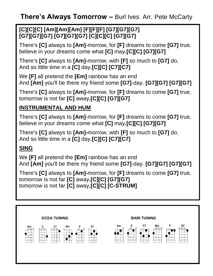**There's Always Tomorrow –** Burl Ives Arr. Pete McCarty

#### **[C][C][C] [Am][Am][Am] [F][F][F] [G7][G7][G7] [G7][G7][G7] [G7][G7][G7] [C][C][C] [G7][G7]**

There's **[C]** always to **[Am]**-morrow, for **[F]** dreams to come **[G7]** true, believe in your dreams come what **[C]** may**.[C][C] [G7][G7]**

There's **[C]** always to **[Am]-**morrow, with **[F]** so much to **[G7]** do, And so little time in a **[C]** day.**[C][C] [C7][C7]**

We **[F]** all pretend the **[Em]** rainbow has an end And **[Am]** you'll be there my friend some **[G7]**-day. **[G7][G7] [G7][G7]**

There's **[C]** always to **[Am]-**morrow, for **[F]** dreams to come **[G7]** true, tomorrow is not far **[C]** away**.[C][C] [G7][G7]**

#### **INSTRUMENTAL AND HUM**

There's **[C]** always to **[Am]**-morrow, for **[F]** dreams to come **[G7]** true, believe in your dreams come what **[C]** may**.[C][C] [G7][G7]**

There's **[C]** always to **[Am]-**morrow, with **[F]** so much to **[G7]** do, And so little time in a **[C]** day.**[C][C] [C7][C7]**

#### **SING**

We **[F]** all pretend the **[Em]** rainbow has an end And **[Am]** you'll be there my friend some **[G7]**-day. **[G7][G7] [G7][G7]**

There's **[C]** always to **[Am]-**morrow, for **[F]** dreams to come **[G7]** true, tomorrow is not far **[C]** away**.[C][C] [G7][G7]** tomorrow is not far **[C]** away**.[C][C] [C-STRUM]**

![](_page_23_Figure_12.jpeg)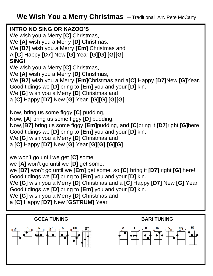**INTRO NO SING OR KAZOO'S**<br>We wish you a Merry **[C]** Christmas, A **[C]** Happy **[D7]** New **[G]** Year **[G][G] [G][G] INTRO NO SING OR KAZOO'S** We **[A]** wish you a Merry **[D]** Christmas, We **[B7]** wish you a Merry **[Em]** Christmas and **SING!** We wish you a Merry **[C]** Christmas, We **[A]** wish you a Merry **[D]** Christmas, We **[B7]** wish you a Merry **[Em]**Christmas and a**[C]** Happy **[D7]**New **[G]**Year. Good tidings we **[D]** bring to **[Em]** you and your **[D]** kin. We **[G]** wish you a Merry **[D]** Christmas and a **[C]** Happy **[D7]** New **[G]** Year. **[G][G] [G][G]** Now, bring us some figgy **[C]** pudding, Now, **[A]** bring us some figgy **[D]** pudding,

Now,**[B7]** bring us some figgy **[Em]**pudding, and **[C]**bring it **[D7]**right **[G]**here! Good tidings we **[D]** bring to **[Em]** you and your **[D]** kin.

We **[G]** wish you a Merry **[D]** Christmas and

a **[C]** Happy **[D7]** New **[G]** Year **[G][G] [G][G]**

we won't go until we get **[C]** some, we **[A]** won't go until we **[D]** get some, we **[B7]** won't go until we **[Em]** get some, so **[C]** bring it **[D7]** right **[G]** here! Good tidings we **[D]** bring to **[Em]** you and your **[D]** kin. We **[G]** wish you a Merry **[D]** Christmas and a **[C]** Happy **[D7]** New **[G]** Year Good tidings we **[D]** bring to **[Em]** you and your **[D]** kin. We **[G]** wish you a Merry **[D]** Christmas and a **[C]** Happy **[D7]** New **[GSTRUM]** Year

![](_page_24_Figure_6.jpeg)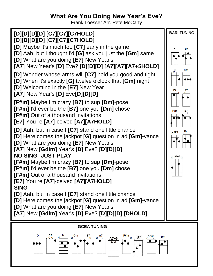## **What Are You Doing New Year's Eve?**

Frank Loesser Arr. Pete McCarty

![](_page_25_Figure_2.jpeg)